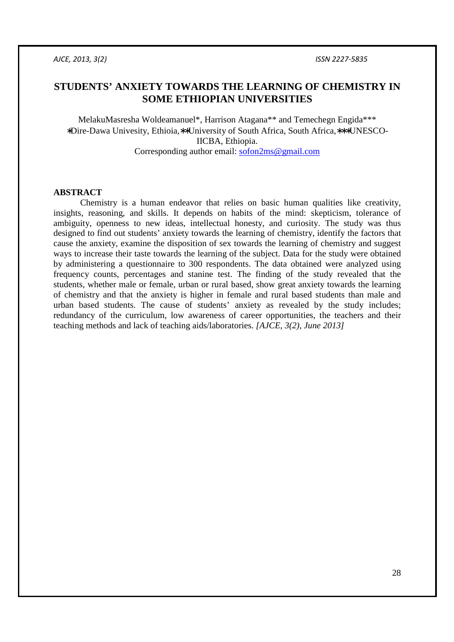# **STUDENTS' ANXIETY TOWARDS THE LEARNING OF CHEMISTRY IN SOME ETHIOPIAN UNIVERSITIES**

MelakuMasresha Woldeamanuel\*, Harrison Atagana\*\* and Temechegn Engida\*\*\* ∗Dire-Dawa Univesity, Ethioia,∗∗University of South Africa, South Africa,∗∗∗UNESCO-IICBA, Ethiopia. Corresponding author email: sofon2ms@gmail.com

### **ABSTRACT**

Chemistry is a human endeavor that relies on basic human qualities like creativity, insights, reasoning, and skills. It depends on habits of the mind: skepticism, tolerance of ambiguity, openness to new ideas, intellectual honesty, and curiosity. The study was thus designed to find out students' anxiety towards the learning of chemistry, identify the factors that cause the anxiety, examine the disposition of sex towards the learning of chemistry and suggest ways to increase their taste towards the learning of the subject. Data for the study were obtained by administering a questionnaire to 300 respondents. The data obtained were analyzed using frequency counts, percentages and stanine test. The finding of the study revealed that the students, whether male or female, urban or rural based, show great anxiety towards the learning of chemistry and that the anxiety is higher in female and rural based students than male and urban based students. The cause of students' anxiety as revealed by the study includes; redundancy of the curriculum, low awareness of career opportunities, the teachers and their teaching methods and lack of teaching aids/laboratories. *[AJCE, 3(2), June 2013]*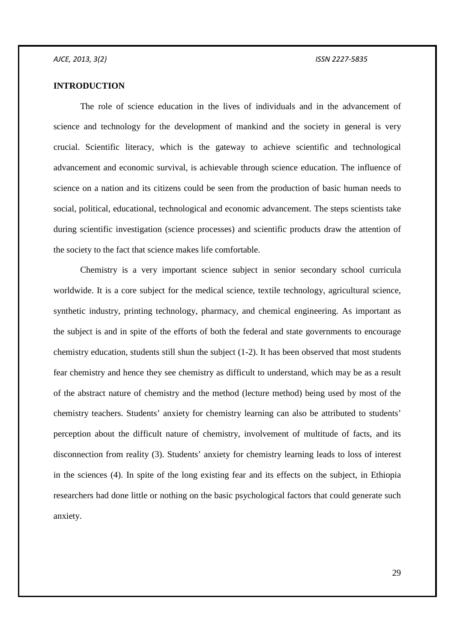# **INTRODUCTION**

The role of science education in the lives of individuals and in the advancement of science and technology for the development of mankind and the society in general is very crucial. Scientific literacy, which is the gateway to achieve scientific and technological advancement and economic survival, is achievable through science education. The influence of science on a nation and its citizens could be seen from the production of basic human needs to social, political, educational, technological and economic advancement. The steps scientists take during scientific investigation (science processes) and scientific products draw the attention of the society to the fact that science makes life comfortable.

Chemistry is a very important science subject in senior secondary school curricula worldwide. It is a core subject for the medical science, textile technology, agricultural science, synthetic industry, printing technology, pharmacy, and chemical engineering. As important as the subject is and in spite of the efforts of both the federal and state governments to encourage chemistry education, students still shun the subject (1-2). It has been observed that most students fear chemistry and hence they see chemistry as difficult to understand, which may be as a result of the abstract nature of chemistry and the method (lecture method) being used by most of the chemistry teachers. Students' anxiety for chemistry learning can also be attributed to students' perception about the difficult nature of chemistry, involvement of multitude of facts, and its disconnection from reality (3). Students' anxiety for chemistry learning leads to loss of interest in the sciences (4). In spite of the long existing fear and its effects on the subject, in Ethiopia researchers had done little or nothing on the basic psychological factors that could generate such anxiety.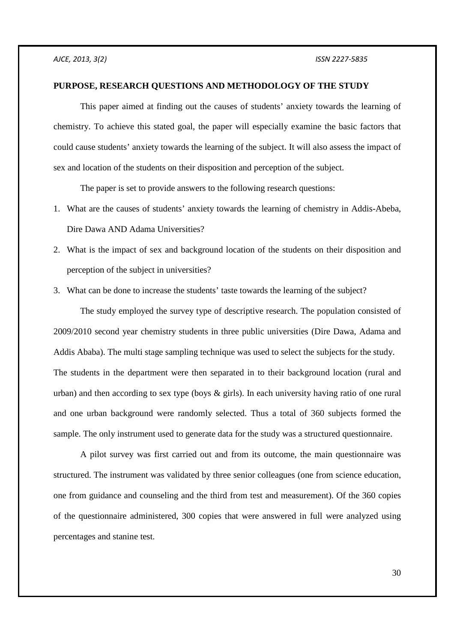#### **PURPOSE, RESEARCH QUESTIONS AND METHODOLOGY OF THE STUDY**

This paper aimed at finding out the causes of students' anxiety towards the learning of chemistry. To achieve this stated goal, the paper will especially examine the basic factors that could cause students' anxiety towards the learning of the subject. It will also assess the impact of sex and location of the students on their disposition and perception of the subject.

The paper is set to provide answers to the following research questions:

- 1. What are the causes of students' anxiety towards the learning of chemistry in Addis-Abeba, Dire Dawa AND Adama Universities?
- 2. What is the impact of sex and background location of the students on their disposition and perception of the subject in universities?
- 3. What can be done to increase the students' taste towards the learning of the subject?

The study employed the survey type of descriptive research. The population consisted of 2009/2010 second year chemistry students in three public universities (Dire Dawa, Adama and Addis Ababa). The multi stage sampling technique was used to select the subjects for the study. The students in the department were then separated in to their background location (rural and urban) and then according to sex type (boys  $\&$  girls). In each university having ratio of one rural and one urban background were randomly selected. Thus a total of 360 subjects formed the sample. The only instrument used to generate data for the study was a structured questionnaire.

A pilot survey was first carried out and from its outcome, the main questionnaire was structured. The instrument was validated by three senior colleagues (one from science education, one from guidance and counseling and the third from test and measurement). Of the 360 copies of the questionnaire administered, 300 copies that were answered in full were analyzed using percentages and stanine test.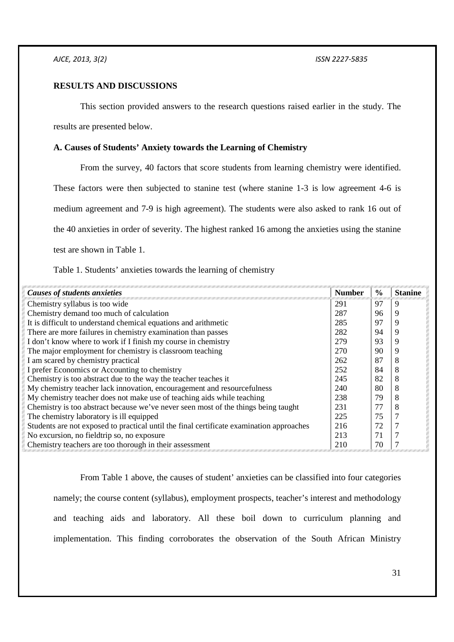# **RESULTS AND DISCUSSIONS**

This section provided answers to the research questions raised earlier in the study. The

results are presented below.

# **A. Causes of Students' Anxiety towards the Learning of Chemistry**

From the survey, 40 factors that score students from learning chemistry were identified. These factors were then subjected to stanine test (where stanine 1-3 is low agreement 4-6 is medium agreement and 7-9 is high agreement). The students were also asked to rank 16 out of the 40 anxieties in order of severity. The highest ranked 16 among the anxieties using the stanine test are shown in Table 1.

Table 1. Students' anxieties towards the learning of chemistry

| <b>Causes of students anxieties</b>                                                      | <b>Number</b> | $\frac{0}{0}$ | <b>Stanine</b> |
|------------------------------------------------------------------------------------------|---------------|---------------|----------------|
| Chemistry syllabus is too wide                                                           | 291           | 97            | 9              |
| Chemistry demand too much of calculation                                                 | 287           | 96            | 9              |
| It is difficult to understand chemical equations and arithmetic                          | 285           | 97            | 9              |
| There are more failures in chemistry examination than passes                             | 282           | 94            | 9              |
| I don't know where to work if I finish my course in chemistry                            | 279           | 93            | 9              |
| The major employment for chemistry is classroom teaching                                 | 270           | 90            | 9              |
| I am scared by chemistry practical                                                       | 262           | 87            | 8              |
| I prefer Economics or Accounting to chemistry                                            | 252           | 84            | 8              |
| Chemistry is too abstract due to the way the teacher teaches it                          | 245           | 82            | 8              |
| My chemistry teacher lack innovation, encouragement and resourcefulness                  | 240           | 80            | 8              |
| My chemistry teacher does not make use of teaching aids while teaching                   | 238           | 79            | 8              |
| Chemistry is too abstract because we've never seen most of the things being taught       | 231           | 77            | 8              |
| The chemistry laboratory is ill equipped                                                 | 225           | 75            |                |
| Students are not exposed to practical until the final certificate examination approaches | 216           | 72            |                |
| No excursion, no fieldtrip so, no exposure                                               | 213           | 71            |                |
| Chemistry teachers are too thorough in their assessment                                  | 210           | 70            |                |

From Table 1 above, the causes of student' anxieties can be classified into four categories namely; the course content (syllabus), employment prospects, teacher's interest and methodology and teaching aids and laboratory. All these boil down to curriculum planning and implementation. This finding corroborates the observation of the South African Ministry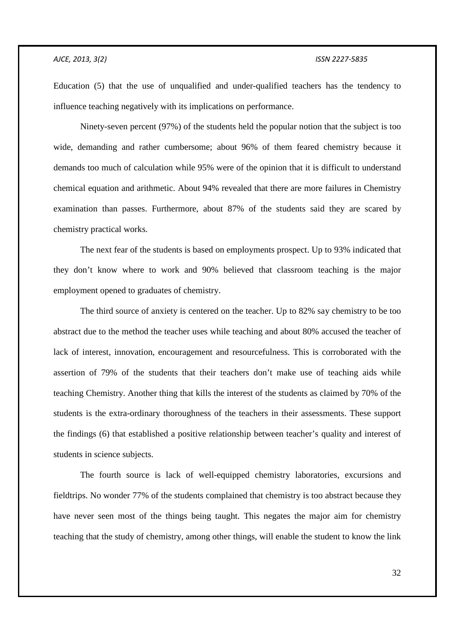### *AJCE, 2013, 3(2) ISSN 2227-5835*

Education (5) that the use of unqualified and under-qualified teachers has the tendency to influence teaching negatively with its implications on performance.

Ninety-seven percent (97%) of the students held the popular notion that the subject is too wide, demanding and rather cumbersome; about 96% of them feared chemistry because it demands too much of calculation while 95% were of the opinion that it is difficult to understand chemical equation and arithmetic. About 94% revealed that there are more failures in Chemistry examination than passes. Furthermore, about 87% of the students said they are scared by chemistry practical works.

The next fear of the students is based on employments prospect. Up to 93% indicated that they don't know where to work and 90% believed that classroom teaching is the major employment opened to graduates of chemistry.

The third source of anxiety is centered on the teacher. Up to 82% say chemistry to be too abstract due to the method the teacher uses while teaching and about 80% accused the teacher of lack of interest, innovation, encouragement and resourcefulness. This is corroborated with the assertion of 79% of the students that their teachers don't make use of teaching aids while teaching Chemistry. Another thing that kills the interest of the students as claimed by 70% of the students is the extra-ordinary thoroughness of the teachers in their assessments. These support the findings (6) that established a positive relationship between teacher's quality and interest of students in science subjects.

The fourth source is lack of well-equipped chemistry laboratories, excursions and fieldtrips. No wonder 77% of the students complained that chemistry is too abstract because they have never seen most of the things being taught. This negates the major aim for chemistry teaching that the study of chemistry, among other things, will enable the student to know the link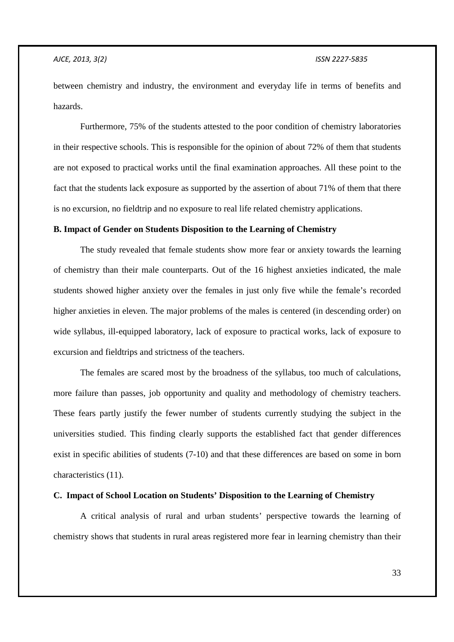between chemistry and industry, the environment and everyday life in terms of benefits and hazards.

Furthermore, 75% of the students attested to the poor condition of chemistry laboratories in their respective schools. This is responsible for the opinion of about 72% of them that students are not exposed to practical works until the final examination approaches. All these point to the fact that the students lack exposure as supported by the assertion of about 71% of them that there is no excursion, no fieldtrip and no exposure to real life related chemistry applications.

# **B. Impact of Gender on Students Disposition to the Learning of Chemistry**

The study revealed that female students show more fear or anxiety towards the learning of chemistry than their male counterparts. Out of the 16 highest anxieties indicated, the male students showed higher anxiety over the females in just only five while the female's recorded higher anxieties in eleven. The major problems of the males is centered (in descending order) on wide syllabus, ill-equipped laboratory, lack of exposure to practical works, lack of exposure to excursion and fieldtrips and strictness of the teachers.

The females are scared most by the broadness of the syllabus, too much of calculations, more failure than passes, job opportunity and quality and methodology of chemistry teachers. These fears partly justify the fewer number of students currently studying the subject in the universities studied. This finding clearly supports the established fact that gender differences exist in specific abilities of students (7-10) and that these differences are based on some in born characteristics (11).

# **C. Impact of School Location on Students' Disposition to the Learning of Chemistry**

A critical analysis of rural and urban students' perspective towards the learning of chemistry shows that students in rural areas registered more fear in learning chemistry than their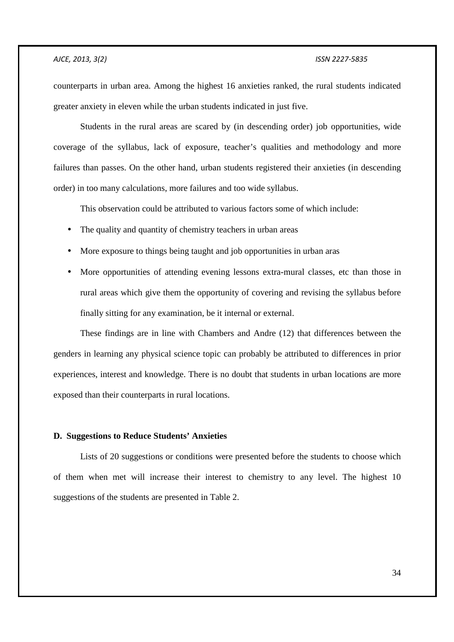counterparts in urban area. Among the highest 16 anxieties ranked, the rural students indicated greater anxiety in eleven while the urban students indicated in just five.

Students in the rural areas are scared by (in descending order) job opportunities, wide coverage of the syllabus, lack of exposure, teacher's qualities and methodology and more failures than passes. On the other hand, urban students registered their anxieties (in descending order) in too many calculations, more failures and too wide syllabus.

This observation could be attributed to various factors some of which include:

- The quality and quantity of chemistry teachers in urban areas
- More exposure to things being taught and job opportunities in urban aras
- More opportunities of attending evening lessons extra-mural classes, etc than those in rural areas which give them the opportunity of covering and revising the syllabus before finally sitting for any examination, be it internal or external.

These findings are in line with Chambers and Andre (12) that differences between the genders in learning any physical science topic can probably be attributed to differences in prior experiences, interest and knowledge. There is no doubt that students in urban locations are more exposed than their counterparts in rural locations.

#### **D. Suggestions to Reduce Students' Anxieties**

Lists of 20 suggestions or conditions were presented before the students to choose which of them when met will increase their interest to chemistry to any level. The highest 10 suggestions of the students are presented in Table 2.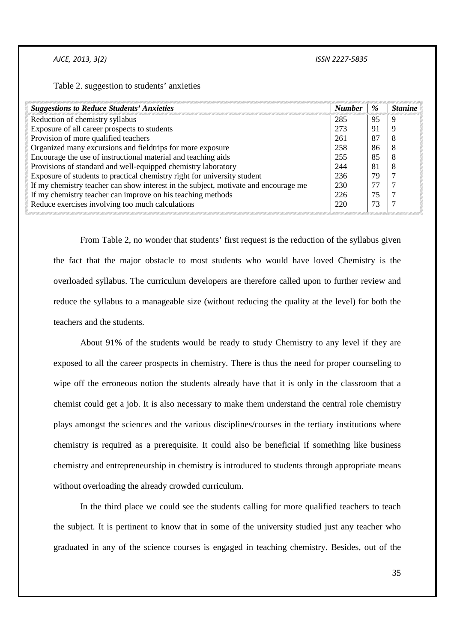*AJCE, 2013, 3(2) ISSN 2227-5835* 

Table 2. suggestion to students' anxieties

| <b>Suggestions to Reduce Students' Anxieties</b>                                    | <b>Number</b> | %   | <b>Stanine</b> |
|-------------------------------------------------------------------------------------|---------------|-----|----------------|
| Reduction of chemistry syllabus                                                     | 285           | 95  | 9              |
| Exposure of all career prospects to students                                        | 273           | -91 | q              |
| Provision of more qualified teachers                                                | 261           | 87  |                |
| Organized many excursions and field trips for more exposure                         | 258           | 86  |                |
| Encourage the use of instructional material and teaching aids                       | 255           | 85  |                |
| Provisions of standard and well-equipped chemistry laboratory                       | 244           | 81  | 8              |
| Exposure of students to practical chemistry right for university student            | 236           | 79  |                |
| If my chemistry teacher can show interest in the subject, motivate and encourage me | 230           | 77  |                |
| If my chemistry teacher can improve on his teaching methods                         | 226           | 75  |                |
| Reduce exercises involving too much calculations                                    | 220           | 73  |                |

From Table 2, no wonder that students' first request is the reduction of the syllabus given the fact that the major obstacle to most students who would have loved Chemistry is the overloaded syllabus. The curriculum developers are therefore called upon to further review and reduce the syllabus to a manageable size (without reducing the quality at the level) for both the teachers and the students.

About 91% of the students would be ready to study Chemistry to any level if they are exposed to all the career prospects in chemistry. There is thus the need for proper counseling to wipe off the erroneous notion the students already have that it is only in the classroom that a chemist could get a job. It is also necessary to make them understand the central role chemistry plays amongst the sciences and the various disciplines/courses in the tertiary institutions where chemistry is required as a prerequisite. It could also be beneficial if something like business chemistry and entrepreneurship in chemistry is introduced to students through appropriate means without overloading the already crowded curriculum.

In the third place we could see the students calling for more qualified teachers to teach the subject. It is pertinent to know that in some of the university studied just any teacher who graduated in any of the science courses is engaged in teaching chemistry. Besides, out of the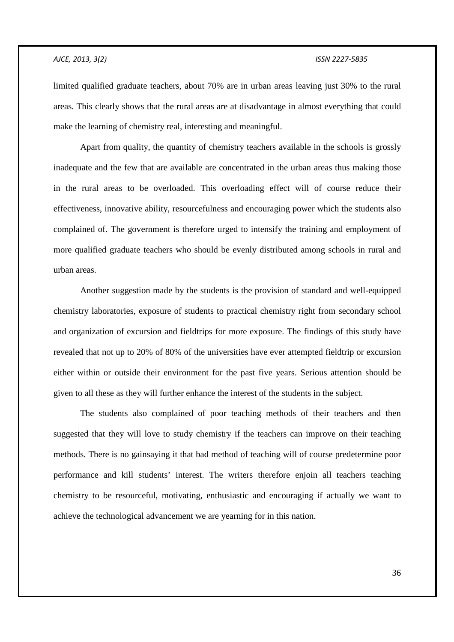limited qualified graduate teachers, about 70% are in urban areas leaving just 30% to the rural areas. This clearly shows that the rural areas are at disadvantage in almost everything that could make the learning of chemistry real, interesting and meaningful.

Apart from quality, the quantity of chemistry teachers available in the schools is grossly inadequate and the few that are available are concentrated in the urban areas thus making those in the rural areas to be overloaded. This overloading effect will of course reduce their effectiveness, innovative ability, resourcefulness and encouraging power which the students also complained of. The government is therefore urged to intensify the training and employment of more qualified graduate teachers who should be evenly distributed among schools in rural and urban areas.

Another suggestion made by the students is the provision of standard and well-equipped chemistry laboratories, exposure of students to practical chemistry right from secondary school and organization of excursion and fieldtrips for more exposure. The findings of this study have revealed that not up to 20% of 80% of the universities have ever attempted fieldtrip or excursion either within or outside their environment for the past five years. Serious attention should be given to all these as they will further enhance the interest of the students in the subject.

The students also complained of poor teaching methods of their teachers and then suggested that they will love to study chemistry if the teachers can improve on their teaching methods. There is no gainsaying it that bad method of teaching will of course predetermine poor performance and kill students' interest. The writers therefore enjoin all teachers teaching chemistry to be resourceful, motivating, enthusiastic and encouraging if actually we want to achieve the technological advancement we are yearning for in this nation.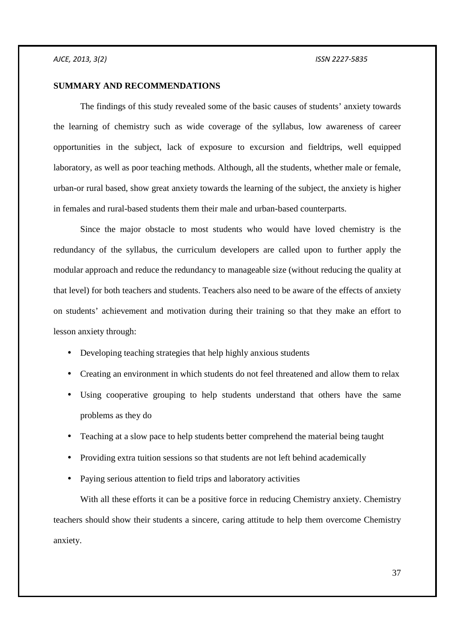### **SUMMARY AND RECOMMENDATIONS**

The findings of this study revealed some of the basic causes of students' anxiety towards the learning of chemistry such as wide coverage of the syllabus, low awareness of career opportunities in the subject, lack of exposure to excursion and fieldtrips, well equipped laboratory, as well as poor teaching methods. Although, all the students, whether male or female, urban-or rural based, show great anxiety towards the learning of the subject, the anxiety is higher in females and rural-based students them their male and urban-based counterparts.

 Since the major obstacle to most students who would have loved chemistry is the redundancy of the syllabus, the curriculum developers are called upon to further apply the modular approach and reduce the redundancy to manageable size (without reducing the quality at that level) for both teachers and students. Teachers also need to be aware of the effects of anxiety on students' achievement and motivation during their training so that they make an effort to lesson anxiety through:

- Developing teaching strategies that help highly anxious students
- Creating an environment in which students do not feel threatened and allow them to relax
- Using cooperative grouping to help students understand that others have the same problems as they do
- Teaching at a slow pace to help students better comprehend the material being taught
- Providing extra tuition sessions so that students are not left behind academically
- Paying serious attention to field trips and laboratory activities

With all these efforts it can be a positive force in reducing Chemistry anxiety. Chemistry teachers should show their students a sincere, caring attitude to help them overcome Chemistry anxiety.